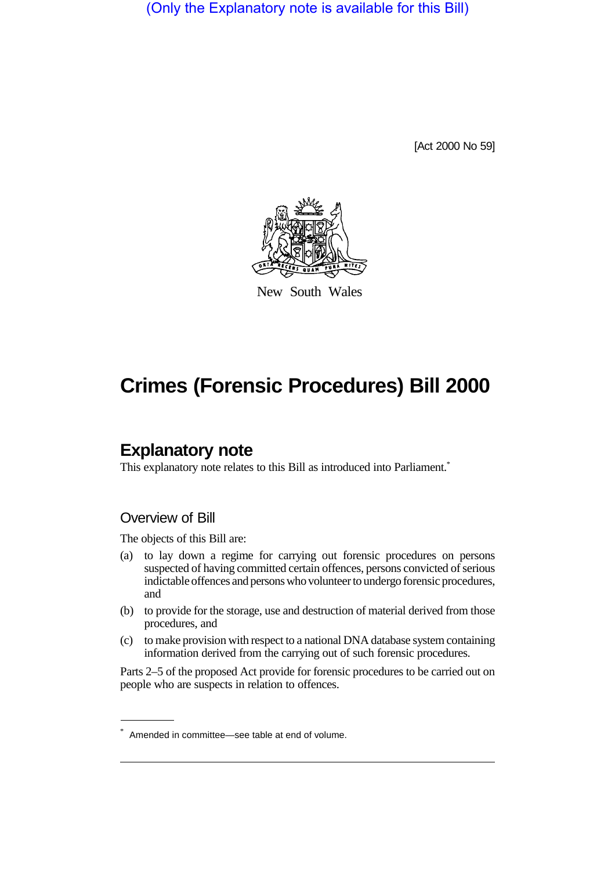(Only the Explanatory note is available for this Bill)

[Act 2000 No 59]



New South Wales

# **Crimes (Forensic Procedures) Bill 2000**

# **Explanatory note**

This explanatory note relates to this Bill as introduced into Parliament.<sup>\*</sup>

### Overview of Bill

The objects of this Bill are:

- (a) to lay down a regime for carrying out forensic procedures on persons suspected of having committed certain offences, persons convicted of serious indictable offences and persons who volunteer to undergo forensic procedures, and
- (b) to provide for the storage, use and destruction of material derived from those procedures, and
- (c) to make provision with respect to a national DNA database system containing information derived from the carrying out of such forensic procedures.

Parts 2–5 of the proposed Act provide for forensic procedures to be carried out on people who are suspects in relation to offences.

<sup>\*</sup> Amended in committee—see table at end of volume.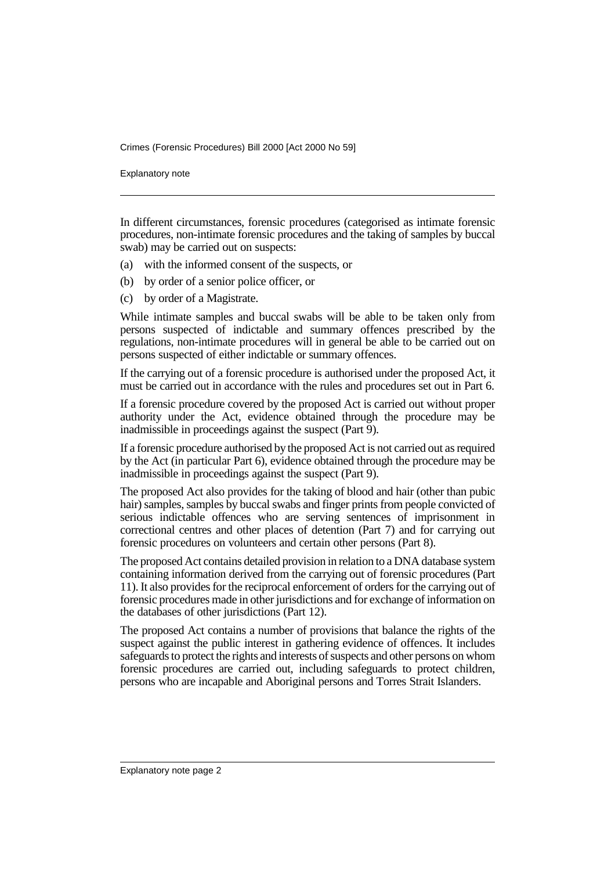Explanatory note

In different circumstances, forensic procedures (categorised as intimate forensic procedures, non-intimate forensic procedures and the taking of samples by buccal swab) may be carried out on suspects:

- (a) with the informed consent of the suspects, or
- (b) by order of a senior police officer, or
- (c) by order of a Magistrate.

While intimate samples and buccal swabs will be able to be taken only from persons suspected of indictable and summary offences prescribed by the regulations, non-intimate procedures will in general be able to be carried out on persons suspected of either indictable or summary offences.

If the carrying out of a forensic procedure is authorised under the proposed Act, it must be carried out in accordance with the rules and procedures set out in Part 6.

If a forensic procedure covered by the proposed Act is carried out without proper authority under the Act, evidence obtained through the procedure may be inadmissible in proceedings against the suspect (Part 9).

If a forensic procedure authorised by the proposed Act is not carried out as required by the Act (in particular Part 6), evidence obtained through the procedure may be inadmissible in proceedings against the suspect (Part 9).

The proposed Act also provides for the taking of blood and hair (other than pubic hair) samples, samples by buccal swabs and finger prints from people convicted of serious indictable offences who are serving sentences of imprisonment in correctional centres and other places of detention (Part 7) and for carrying out forensic procedures on volunteers and certain other persons (Part 8).

The proposed Act contains detailed provision in relation to a DNA database system containing information derived from the carrying out of forensic procedures (Part 11). It also provides for the reciprocal enforcement of orders for the carrying out of forensic procedures made in other jurisdictions and for exchange of information on the databases of other jurisdictions (Part 12).

The proposed Act contains a number of provisions that balance the rights of the suspect against the public interest in gathering evidence of offences. It includes safeguards to protect the rights and interests of suspects and other persons on whom forensic procedures are carried out, including safeguards to protect children, persons who are incapable and Aboriginal persons and Torres Strait Islanders.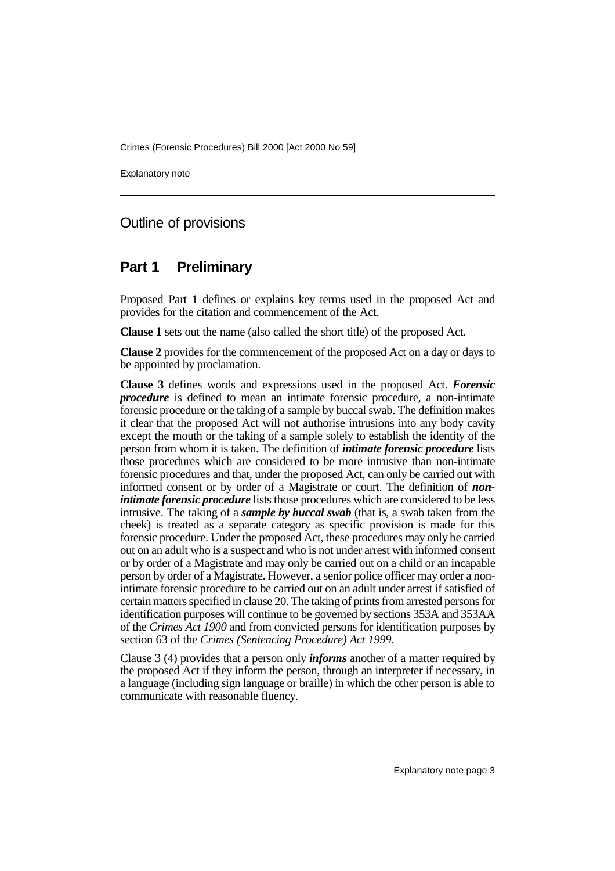Explanatory note

### Outline of provisions

### **Part 1 Preliminary**

Proposed Part 1 defines or explains key terms used in the proposed Act and provides for the citation and commencement of the Act.

**Clause 1** sets out the name (also called the short title) of the proposed Act.

**Clause 2** provides for the commencement of the proposed Act on a day or days to be appointed by proclamation.

**Clause 3** defines words and expressions used in the proposed Act. *Forensic procedure* is defined to mean an intimate forensic procedure, a non-intimate forensic procedure or the taking of a sample by buccal swab. The definition makes it clear that the proposed Act will not authorise intrusions into any body cavity except the mouth or the taking of a sample solely to establish the identity of the person from whom it is taken. The definition of *intimate forensic procedure* lists those procedures which are considered to be more intrusive than non-intimate forensic procedures and that, under the proposed Act, can only be carried out with informed consent or by order of a Magistrate or court. The definition of *nonintimate forensic procedure* lists those procedures which are considered to be less intrusive. The taking of a *sample by buccal swab* (that is, a swab taken from the cheek) is treated as a separate category as specific provision is made for this forensic procedure. Under the proposed Act, these procedures may only be carried out on an adult who is a suspect and who is not under arrest with informed consent or by order of a Magistrate and may only be carried out on a child or an incapable person by order of a Magistrate. However, a senior police officer may order a nonintimate forensic procedure to be carried out on an adult under arrest if satisfied of certain matters specified in clause 20. The taking of prints from arrested persons for identification purposes will continue to be governed by sections 353A and 353AA of the *Crimes Act 1900* and from convicted persons for identification purposes by section 63 of the *Crimes (Sentencing Procedure) Act 1999*.

Clause 3 (4) provides that a person only *informs* another of a matter required by the proposed Act if they inform the person, through an interpreter if necessary, in a language (including sign language or braille) in which the other person is able to communicate with reasonable fluency.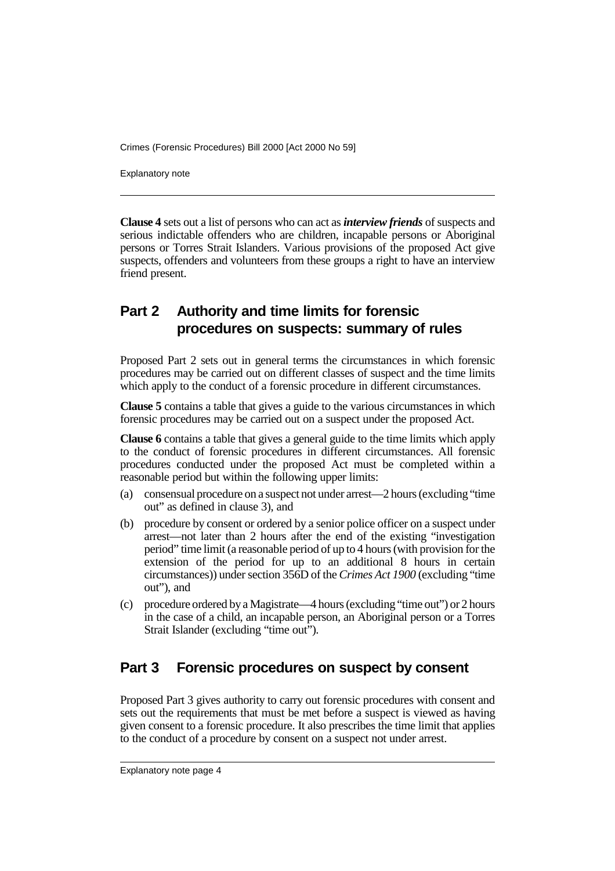Explanatory note

**Clause 4** sets out a list of persons who can act as *interview friends* of suspects and serious indictable offenders who are children, incapable persons or Aboriginal persons or Torres Strait Islanders. Various provisions of the proposed Act give suspects, offenders and volunteers from these groups a right to have an interview friend present.

# **Part 2 Authority and time limits for forensic procedures on suspects: summary of rules**

Proposed Part 2 sets out in general terms the circumstances in which forensic procedures may be carried out on different classes of suspect and the time limits which apply to the conduct of a forensic procedure in different circumstances.

**Clause 5** contains a table that gives a guide to the various circumstances in which forensic procedures may be carried out on a suspect under the proposed Act.

**Clause 6** contains a table that gives a general guide to the time limits which apply to the conduct of forensic procedures in different circumstances. All forensic procedures conducted under the proposed Act must be completed within a reasonable period but within the following upper limits:

- (a) consensual procedure on a suspect not under arrest—2 hours (excluding "time out" as defined in clause 3), and
- (b) procedure by consent or ordered by a senior police officer on a suspect under arrest—not later than 2 hours after the end of the existing "investigation period" time limit (a reasonable period of up to 4 hours (with provision for the extension of the period for up to an additional 8 hours in certain circumstances)) under section 356D of the *Crimes Act 1900* (excluding "time out"), and
- (c) procedure ordered by a Magistrate—4 hours (excluding "time out") or 2 hours in the case of a child, an incapable person, an Aboriginal person or a Torres Strait Islander (excluding "time out").

### **Part 3 Forensic procedures on suspect by consent**

Proposed Part 3 gives authority to carry out forensic procedures with consent and sets out the requirements that must be met before a suspect is viewed as having given consent to a forensic procedure. It also prescribes the time limit that applies to the conduct of a procedure by consent on a suspect not under arrest.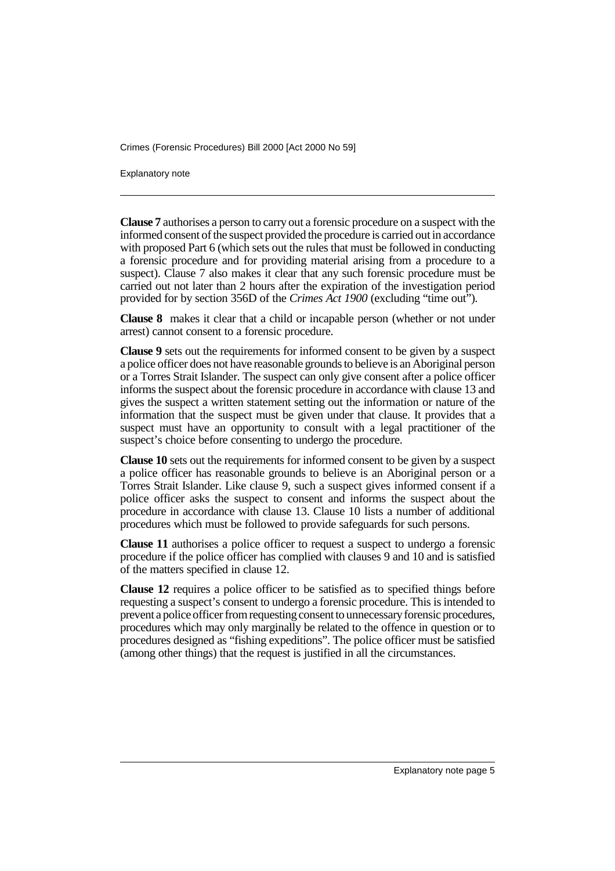Explanatory note

**Clause 7** authorises a person to carry out a forensic procedure on a suspect with the informed consent of the suspect provided the procedure is carried out in accordance with proposed Part 6 (which sets out the rules that must be followed in conducting a forensic procedure and for providing material arising from a procedure to a suspect). Clause 7 also makes it clear that any such forensic procedure must be carried out not later than 2 hours after the expiration of the investigation period provided for by section 356D of the *Crimes Act 1900* (excluding "time out").

**Clause 8** makes it clear that a child or incapable person (whether or not under arrest) cannot consent to a forensic procedure.

**Clause 9** sets out the requirements for informed consent to be given by a suspect a police officer does not have reasonable grounds to believe is an Aboriginal person or a Torres Strait Islander. The suspect can only give consent after a police officer informs the suspect about the forensic procedure in accordance with clause 13 and gives the suspect a written statement setting out the information or nature of the information that the suspect must be given under that clause. It provides that a suspect must have an opportunity to consult with a legal practitioner of the suspect's choice before consenting to undergo the procedure.

**Clause 10** sets out the requirements for informed consent to be given by a suspect a police officer has reasonable grounds to believe is an Aboriginal person or a Torres Strait Islander. Like clause 9, such a suspect gives informed consent if a police officer asks the suspect to consent and informs the suspect about the procedure in accordance with clause 13. Clause 10 lists a number of additional procedures which must be followed to provide safeguards for such persons.

**Clause 11** authorises a police officer to request a suspect to undergo a forensic procedure if the police officer has complied with clauses 9 and 10 and is satisfied of the matters specified in clause 12.

**Clause 12** requires a police officer to be satisfied as to specified things before requesting a suspect's consent to undergo a forensic procedure. This is intended to prevent a police officer from requesting consent to unnecessary forensic procedures, procedures which may only marginally be related to the offence in question or to procedures designed as "fishing expeditions". The police officer must be satisfied (among other things) that the request is justified in all the circumstances.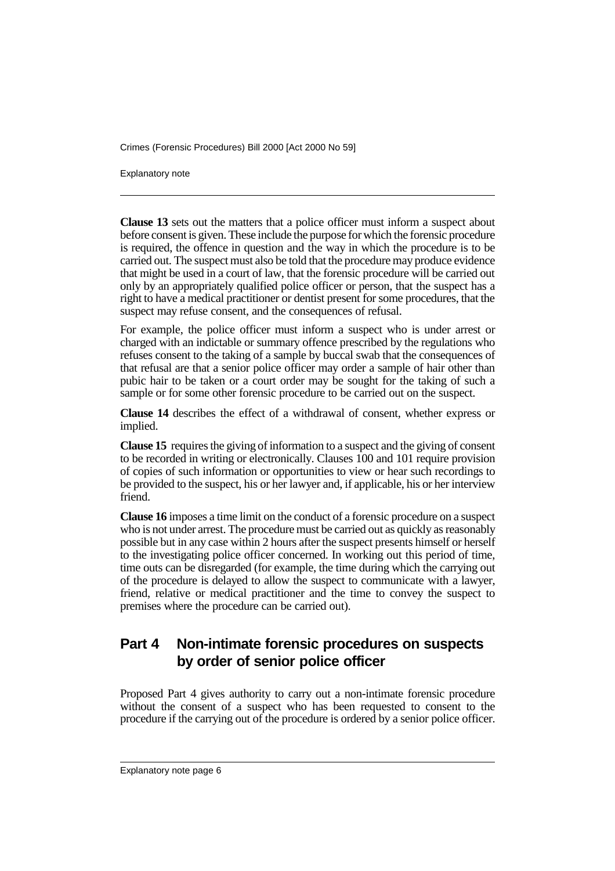Explanatory note

**Clause 13** sets out the matters that a police officer must inform a suspect about before consent is given. These include the purpose for which the forensic procedure is required, the offence in question and the way in which the procedure is to be carried out. The suspect must also be told that the procedure may produce evidence that might be used in a court of law, that the forensic procedure will be carried out only by an appropriately qualified police officer or person, that the suspect has a right to have a medical practitioner or dentist present for some procedures, that the suspect may refuse consent, and the consequences of refusal.

For example, the police officer must inform a suspect who is under arrest or charged with an indictable or summary offence prescribed by the regulations who refuses consent to the taking of a sample by buccal swab that the consequences of that refusal are that a senior police officer may order a sample of hair other than pubic hair to be taken or a court order may be sought for the taking of such a sample or for some other forensic procedure to be carried out on the suspect.

**Clause 14** describes the effect of a withdrawal of consent, whether express or implied.

**Clause 15** requires the giving of information to a suspect and the giving of consent to be recorded in writing or electronically. Clauses 100 and 101 require provision of copies of such information or opportunities to view or hear such recordings to be provided to the suspect, his or her lawyer and, if applicable, his or her interview friend.

**Clause 16** imposes a time limit on the conduct of a forensic procedure on a suspect who is not under arrest. The procedure must be carried out as quickly as reasonably possible but in any case within 2 hours after the suspect presents himself or herself to the investigating police officer concerned. In working out this period of time, time outs can be disregarded (for example, the time during which the carrying out of the procedure is delayed to allow the suspect to communicate with a lawyer, friend, relative or medical practitioner and the time to convey the suspect to premises where the procedure can be carried out).

# **Part 4 Non-intimate forensic procedures on suspects by order of senior police officer**

Proposed Part 4 gives authority to carry out a non-intimate forensic procedure without the consent of a suspect who has been requested to consent to the procedure if the carrying out of the procedure is ordered by a senior police officer.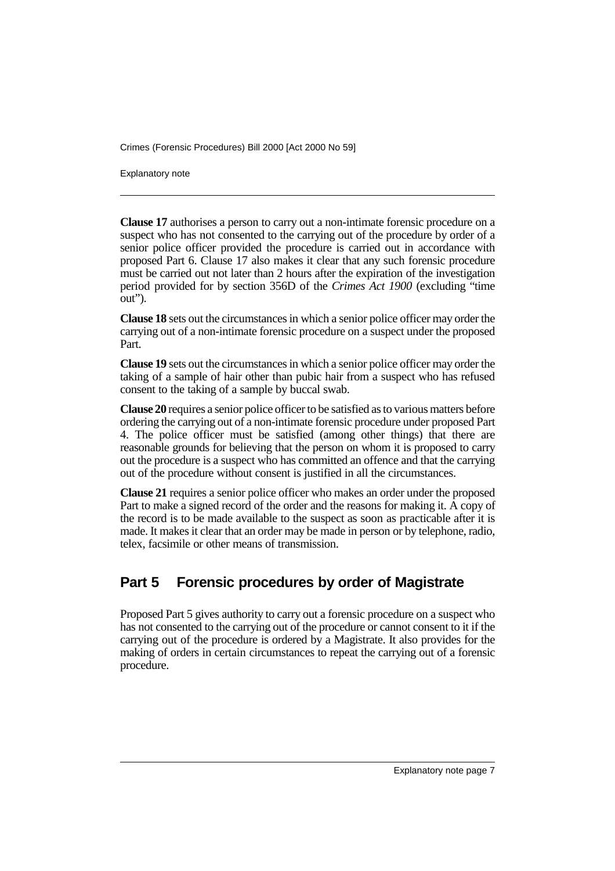Explanatory note

**Clause 17** authorises a person to carry out a non-intimate forensic procedure on a suspect who has not consented to the carrying out of the procedure by order of a senior police officer provided the procedure is carried out in accordance with proposed Part 6. Clause 17 also makes it clear that any such forensic procedure must be carried out not later than 2 hours after the expiration of the investigation period provided for by section 356D of the *Crimes Act 1900* (excluding "time out").

**Clause 18** sets out the circumstances in which a senior police officer may order the carrying out of a non-intimate forensic procedure on a suspect under the proposed Part.

**Clause 19** sets out the circumstances in which a senior police officer may order the taking of a sample of hair other than pubic hair from a suspect who has refused consent to the taking of a sample by buccal swab.

**Clause 20** requires a senior police officer to be satisfied as to various matters before ordering the carrying out of a non-intimate forensic procedure under proposed Part 4. The police officer must be satisfied (among other things) that there are reasonable grounds for believing that the person on whom it is proposed to carry out the procedure is a suspect who has committed an offence and that the carrying out of the procedure without consent is justified in all the circumstances.

**Clause 21** requires a senior police officer who makes an order under the proposed Part to make a signed record of the order and the reasons for making it. A copy of the record is to be made available to the suspect as soon as practicable after it is made. It makes it clear that an order may be made in person or by telephone, radio, telex, facsimile or other means of transmission.

# **Part 5 Forensic procedures by order of Magistrate**

Proposed Part 5 gives authority to carry out a forensic procedure on a suspect who has not consented to the carrying out of the procedure or cannot consent to it if the carrying out of the procedure is ordered by a Magistrate. It also provides for the making of orders in certain circumstances to repeat the carrying out of a forensic procedure.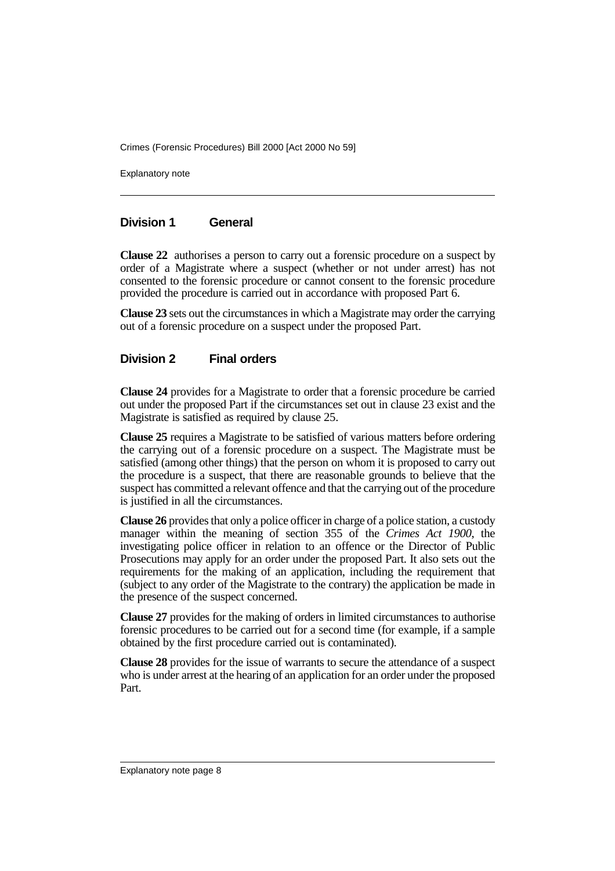Explanatory note

#### **Division 1 General**

**Clause 22** authorises a person to carry out a forensic procedure on a suspect by order of a Magistrate where a suspect (whether or not under arrest) has not consented to the forensic procedure or cannot consent to the forensic procedure provided the procedure is carried out in accordance with proposed Part 6.

**Clause 23** sets out the circumstances in which a Magistrate may order the carrying out of a forensic procedure on a suspect under the proposed Part.

#### **Division 2 Final orders**

**Clause 24** provides for a Magistrate to order that a forensic procedure be carried out under the proposed Part if the circumstances set out in clause 23 exist and the Magistrate is satisfied as required by clause 25.

**Clause 25** requires a Magistrate to be satisfied of various matters before ordering the carrying out of a forensic procedure on a suspect. The Magistrate must be satisfied (among other things) that the person on whom it is proposed to carry out the procedure is a suspect, that there are reasonable grounds to believe that the suspect has committed a relevant offence and that the carrying out of the procedure is justified in all the circumstances.

**Clause 26** provides that only a police officer in charge of a police station, a custody manager within the meaning of section 355 of the *Crimes Act 1900*, the investigating police officer in relation to an offence or the Director of Public Prosecutions may apply for an order under the proposed Part. It also sets out the requirements for the making of an application, including the requirement that (subject to any order of the Magistrate to the contrary) the application be made in the presence of the suspect concerned.

**Clause 27** provides for the making of orders in limited circumstances to authorise forensic procedures to be carried out for a second time (for example, if a sample obtained by the first procedure carried out is contaminated).

**Clause 28** provides for the issue of warrants to secure the attendance of a suspect who is under arrest at the hearing of an application for an order under the proposed Part.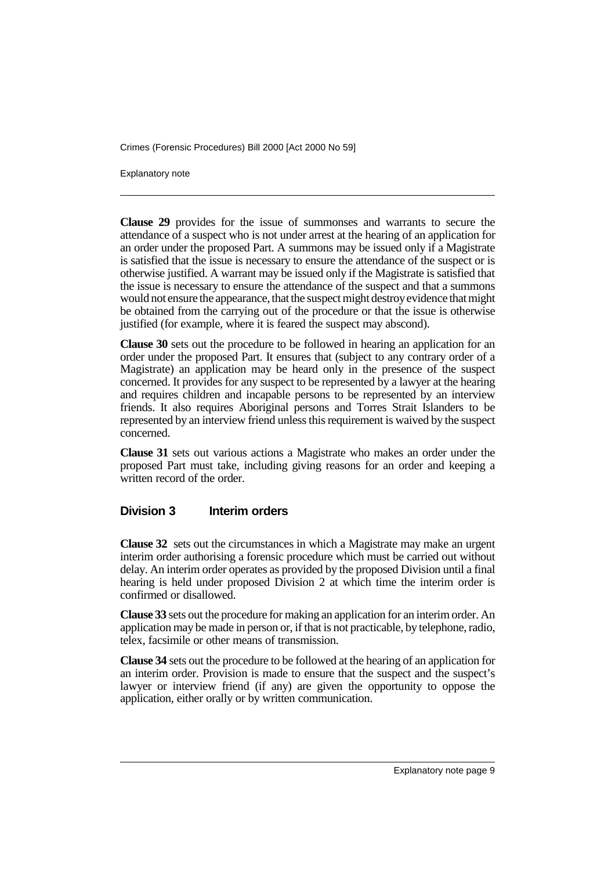Explanatory note

**Clause 29** provides for the issue of summonses and warrants to secure the attendance of a suspect who is not under arrest at the hearing of an application for an order under the proposed Part. A summons may be issued only if a Magistrate is satisfied that the issue is necessary to ensure the attendance of the suspect or is otherwise justified. A warrant may be issued only if the Magistrate is satisfied that the issue is necessary to ensure the attendance of the suspect and that a summons would not ensure the appearance, that the suspect might destroy evidence that might be obtained from the carrying out of the procedure or that the issue is otherwise justified (for example, where it is feared the suspect may abscond).

**Clause 30** sets out the procedure to be followed in hearing an application for an order under the proposed Part. It ensures that (subject to any contrary order of a Magistrate) an application may be heard only in the presence of the suspect concerned. It provides for any suspect to be represented by a lawyer at the hearing and requires children and incapable persons to be represented by an interview friends. It also requires Aboriginal persons and Torres Strait Islanders to be represented by an interview friend unless this requirement is waived by the suspect concerned.

**Clause 31** sets out various actions a Magistrate who makes an order under the proposed Part must take, including giving reasons for an order and keeping a written record of the order.

#### **Division 3 Interim orders**

**Clause 32** sets out the circumstances in which a Magistrate may make an urgent interim order authorising a forensic procedure which must be carried out without delay. An interim order operates as provided by the proposed Division until a final hearing is held under proposed Division 2 at which time the interim order is confirmed or disallowed.

**Clause 33** sets out the procedure for making an application for an interim order. An application may be made in person or, if that is not practicable, by telephone, radio, telex, facsimile or other means of transmission.

**Clause 34** sets out the procedure to be followed at the hearing of an application for an interim order. Provision is made to ensure that the suspect and the suspect's lawyer or interview friend (if any) are given the opportunity to oppose the application, either orally or by written communication.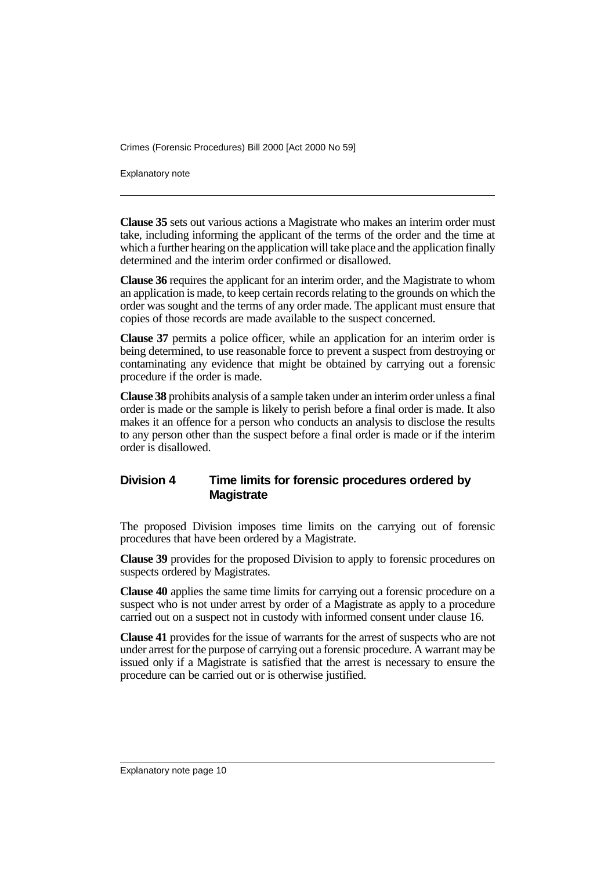Explanatory note

**Clause 35** sets out various actions a Magistrate who makes an interim order must take, including informing the applicant of the terms of the order and the time at which a further hearing on the application will take place and the application finally determined and the interim order confirmed or disallowed.

**Clause 36** requires the applicant for an interim order, and the Magistrate to whom an application is made, to keep certain records relating to the grounds on which the order was sought and the terms of any order made. The applicant must ensure that copies of those records are made available to the suspect concerned.

**Clause 37** permits a police officer, while an application for an interim order is being determined, to use reasonable force to prevent a suspect from destroying or contaminating any evidence that might be obtained by carrying out a forensic procedure if the order is made.

**Clause 38** prohibits analysis of a sample taken under an interim order unless a final order is made or the sample is likely to perish before a final order is made. It also makes it an offence for a person who conducts an analysis to disclose the results to any person other than the suspect before a final order is made or if the interim order is disallowed.

#### **Division 4 Time limits for forensic procedures ordered by Magistrate**

The proposed Division imposes time limits on the carrying out of forensic procedures that have been ordered by a Magistrate.

**Clause 39** provides for the proposed Division to apply to forensic procedures on suspects ordered by Magistrates.

**Clause 40** applies the same time limits for carrying out a forensic procedure on a suspect who is not under arrest by order of a Magistrate as apply to a procedure carried out on a suspect not in custody with informed consent under clause 16.

**Clause 41** provides for the issue of warrants for the arrest of suspects who are not under arrest for the purpose of carrying out a forensic procedure. A warrant may be issued only if a Magistrate is satisfied that the arrest is necessary to ensure the procedure can be carried out or is otherwise justified.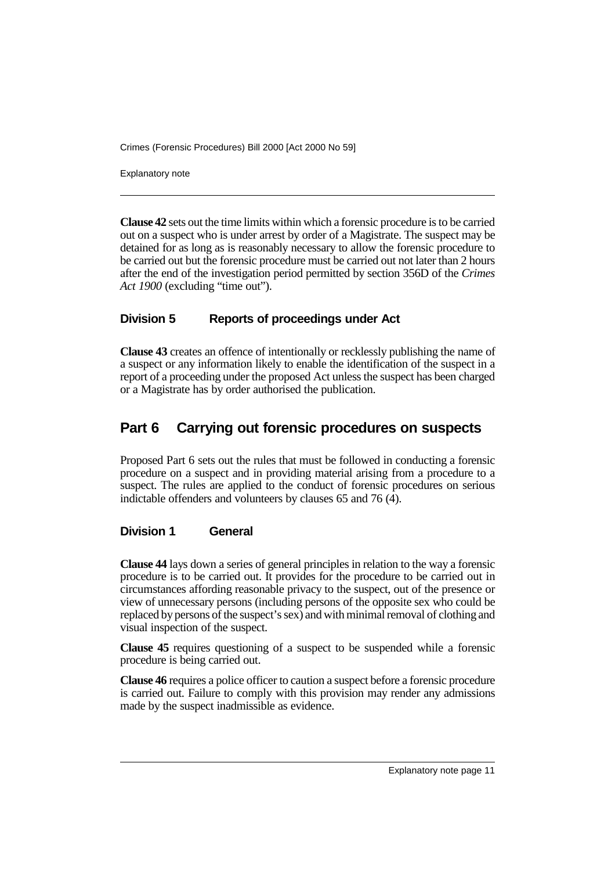Explanatory note

**Clause 42** sets out the time limits within which a forensic procedure is to be carried out on a suspect who is under arrest by order of a Magistrate. The suspect may be detained for as long as is reasonably necessary to allow the forensic procedure to be carried out but the forensic procedure must be carried out not later than 2 hours after the end of the investigation period permitted by section 356D of the *Crimes Act 1900* (excluding "time out").

#### **Division 5 Reports of proceedings under Act**

**Clause 43** creates an offence of intentionally or recklessly publishing the name of a suspect or any information likely to enable the identification of the suspect in a report of a proceeding under the proposed Act unless the suspect has been charged or a Magistrate has by order authorised the publication.

# **Part 6 Carrying out forensic procedures on suspects**

Proposed Part 6 sets out the rules that must be followed in conducting a forensic procedure on a suspect and in providing material arising from a procedure to a suspect. The rules are applied to the conduct of forensic procedures on serious indictable offenders and volunteers by clauses 65 and 76 (4).

#### **Division 1 General**

**Clause 44** lays down a series of general principles in relation to the way a forensic procedure is to be carried out. It provides for the procedure to be carried out in circumstances affording reasonable privacy to the suspect, out of the presence or view of unnecessary persons (including persons of the opposite sex who could be replaced by persons of the suspect's sex) and with minimal removal of clothing and visual inspection of the suspect.

**Clause 45** requires questioning of a suspect to be suspended while a forensic procedure is being carried out.

**Clause 46** requires a police officer to caution a suspect before a forensic procedure is carried out. Failure to comply with this provision may render any admissions made by the suspect inadmissible as evidence.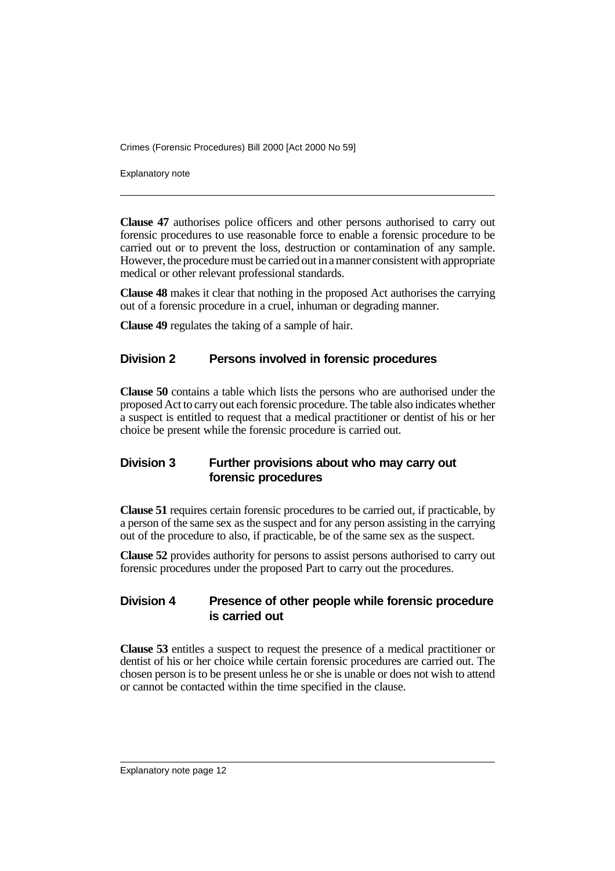Explanatory note

**Clause 47** authorises police officers and other persons authorised to carry out forensic procedures to use reasonable force to enable a forensic procedure to be carried out or to prevent the loss, destruction or contamination of any sample. However, the procedure must be carried out in a manner consistent with appropriate medical or other relevant professional standards.

**Clause 48** makes it clear that nothing in the proposed Act authorises the carrying out of a forensic procedure in a cruel, inhuman or degrading manner.

**Clause 49** regulates the taking of a sample of hair.

#### **Division 2 Persons involved in forensic procedures**

**Clause 50** contains a table which lists the persons who are authorised under the proposed Act to carry out each forensic procedure. The table also indicates whether a suspect is entitled to request that a medical practitioner or dentist of his or her choice be present while the forensic procedure is carried out.

#### **Division 3 Further provisions about who may carry out forensic procedures**

**Clause 51** requires certain forensic procedures to be carried out, if practicable, by a person of the same sex as the suspect and for any person assisting in the carrying out of the procedure to also, if practicable, be of the same sex as the suspect.

**Clause 52** provides authority for persons to assist persons authorised to carry out forensic procedures under the proposed Part to carry out the procedures.

#### **Division 4 Presence of other people while forensic procedure is carried out**

**Clause 53** entitles a suspect to request the presence of a medical practitioner or dentist of his or her choice while certain forensic procedures are carried out. The chosen person is to be present unless he or she is unable or does not wish to attend or cannot be contacted within the time specified in the clause.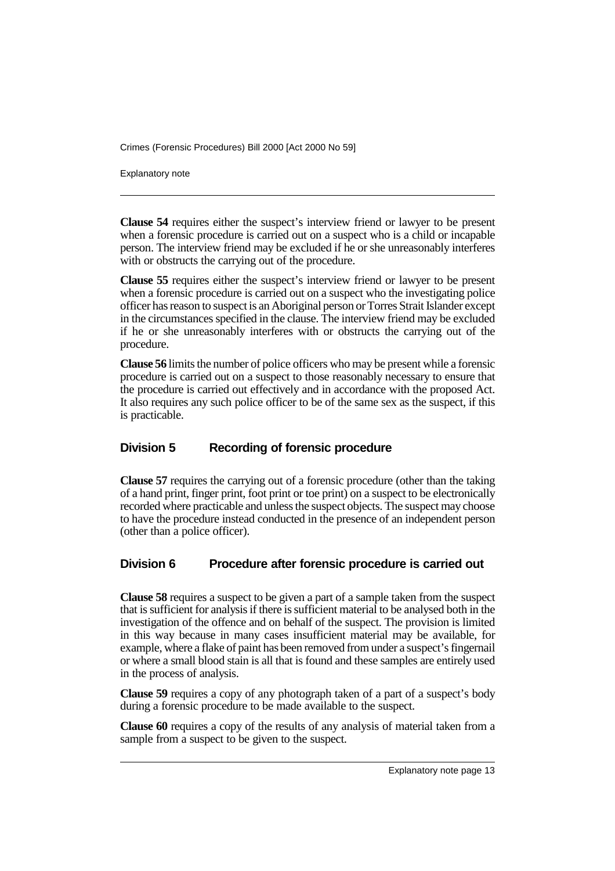Explanatory note

**Clause 54** requires either the suspect's interview friend or lawyer to be present when a forensic procedure is carried out on a suspect who is a child or incapable person. The interview friend may be excluded if he or she unreasonably interferes with or obstructs the carrying out of the procedure.

**Clause 55** requires either the suspect's interview friend or lawyer to be present when a forensic procedure is carried out on a suspect who the investigating police officer has reason to suspect is an Aboriginal person or Torres Strait Islander except in the circumstances specified in the clause. The interview friend may be excluded if he or she unreasonably interferes with or obstructs the carrying out of the procedure.

**Clause 56** limits the number of police officers who may be present while a forensic procedure is carried out on a suspect to those reasonably necessary to ensure that the procedure is carried out effectively and in accordance with the proposed Act. It also requires any such police officer to be of the same sex as the suspect, if this is practicable.

#### **Division 5 Recording of forensic procedure**

**Clause 57** requires the carrying out of a forensic procedure (other than the taking of a hand print, finger print, foot print or toe print) on a suspect to be electronically recorded where practicable and unless the suspect objects. The suspect may choose to have the procedure instead conducted in the presence of an independent person (other than a police officer).

#### **Division 6 Procedure after forensic procedure is carried out**

**Clause 58** requires a suspect to be given a part of a sample taken from the suspect that is sufficient for analysis if there is sufficient material to be analysed both in the investigation of the offence and on behalf of the suspect. The provision is limited in this way because in many cases insufficient material may be available, for example, where a flake of paint has been removed from under a suspect's fingernail or where a small blood stain is all that is found and these samples are entirely used in the process of analysis.

**Clause 59** requires a copy of any photograph taken of a part of a suspect's body during a forensic procedure to be made available to the suspect.

**Clause 60** requires a copy of the results of any analysis of material taken from a sample from a suspect to be given to the suspect.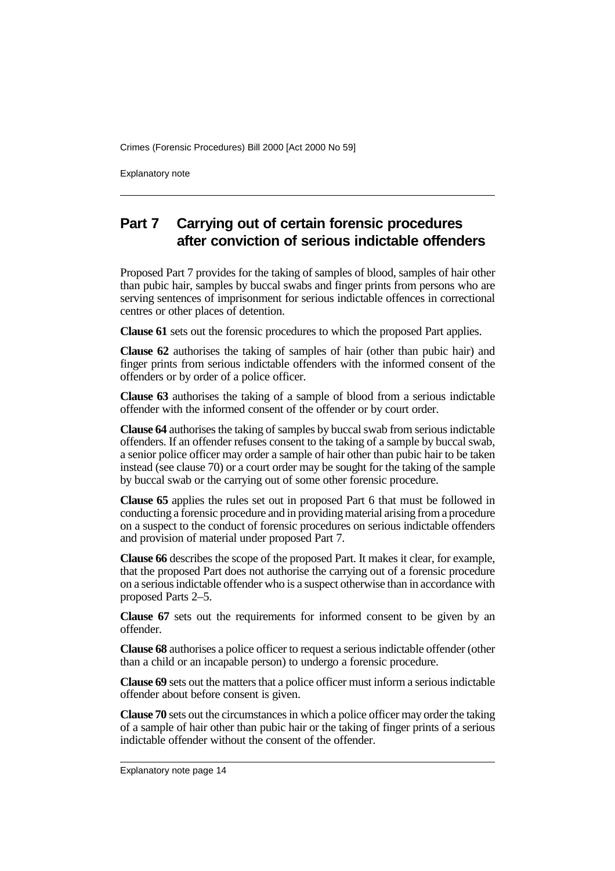Explanatory note

# **Part 7 Carrying out of certain forensic procedures after conviction of serious indictable offenders**

Proposed Part 7 provides for the taking of samples of blood, samples of hair other than pubic hair, samples by buccal swabs and finger prints from persons who are serving sentences of imprisonment for serious indictable offences in correctional centres or other places of detention.

**Clause 61** sets out the forensic procedures to which the proposed Part applies.

**Clause 62** authorises the taking of samples of hair (other than pubic hair) and finger prints from serious indictable offenders with the informed consent of the offenders or by order of a police officer.

**Clause 63** authorises the taking of a sample of blood from a serious indictable offender with the informed consent of the offender or by court order.

**Clause 64** authorises the taking of samples by buccal swab from serious indictable offenders. If an offender refuses consent to the taking of a sample by buccal swab, a senior police officer may order a sample of hair other than pubic hair to be taken instead (see clause 70) or a court order may be sought for the taking of the sample by buccal swab or the carrying out of some other forensic procedure.

**Clause 65** applies the rules set out in proposed Part 6 that must be followed in conducting a forensic procedure and in providing material arising from a procedure on a suspect to the conduct of forensic procedures on serious indictable offenders and provision of material under proposed Part 7.

**Clause 66** describes the scope of the proposed Part. It makes it clear, for example, that the proposed Part does not authorise the carrying out of a forensic procedure on a serious indictable offender who is a suspect otherwise than in accordance with proposed Parts 2–5.

**Clause 67** sets out the requirements for informed consent to be given by an offender.

**Clause 68** authorises a police officer to request a serious indictable offender (other than a child or an incapable person) to undergo a forensic procedure.

**Clause 69** sets out the matters that a police officer must inform a serious indictable offender about before consent is given.

**Clause 70** sets out the circumstances in which a police officer may order the taking of a sample of hair other than pubic hair or the taking of finger prints of a serious indictable offender without the consent of the offender.

Explanatory note page 14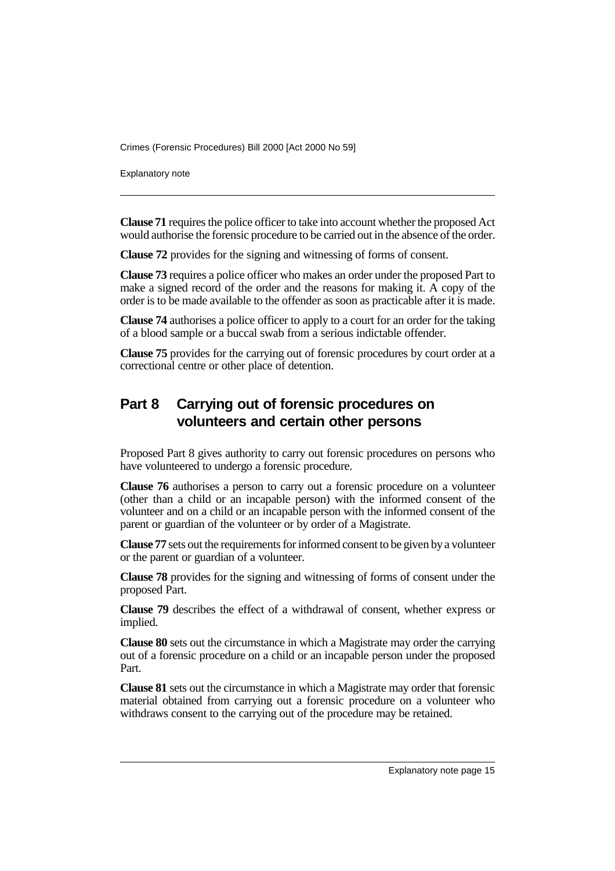Explanatory note

**Clause 71** requires the police officer to take into account whether the proposed Act would authorise the forensic procedure to be carried out in the absence of the order.

**Clause 72** provides for the signing and witnessing of forms of consent.

**Clause 73** requires a police officer who makes an order under the proposed Part to make a signed record of the order and the reasons for making it. A copy of the order is to be made available to the offender as soon as practicable after it is made.

**Clause 74** authorises a police officer to apply to a court for an order for the taking of a blood sample or a buccal swab from a serious indictable offender.

**Clause 75** provides for the carrying out of forensic procedures by court order at a correctional centre or other place of detention.

# **Part 8 Carrying out of forensic procedures on volunteers and certain other persons**

Proposed Part 8 gives authority to carry out forensic procedures on persons who have volunteered to undergo a forensic procedure.

**Clause 76** authorises a person to carry out a forensic procedure on a volunteer (other than a child or an incapable person) with the informed consent of the volunteer and on a child or an incapable person with the informed consent of the parent or guardian of the volunteer or by order of a Magistrate.

**Clause 77** sets out the requirements for informed consent to be given by a volunteer or the parent or guardian of a volunteer.

**Clause 78** provides for the signing and witnessing of forms of consent under the proposed Part.

**Clause 79** describes the effect of a withdrawal of consent, whether express or implied.

**Clause 80** sets out the circumstance in which a Magistrate may order the carrying out of a forensic procedure on a child or an incapable person under the proposed Part.

**Clause 81** sets out the circumstance in which a Magistrate may order that forensic material obtained from carrying out a forensic procedure on a volunteer who withdraws consent to the carrying out of the procedure may be retained.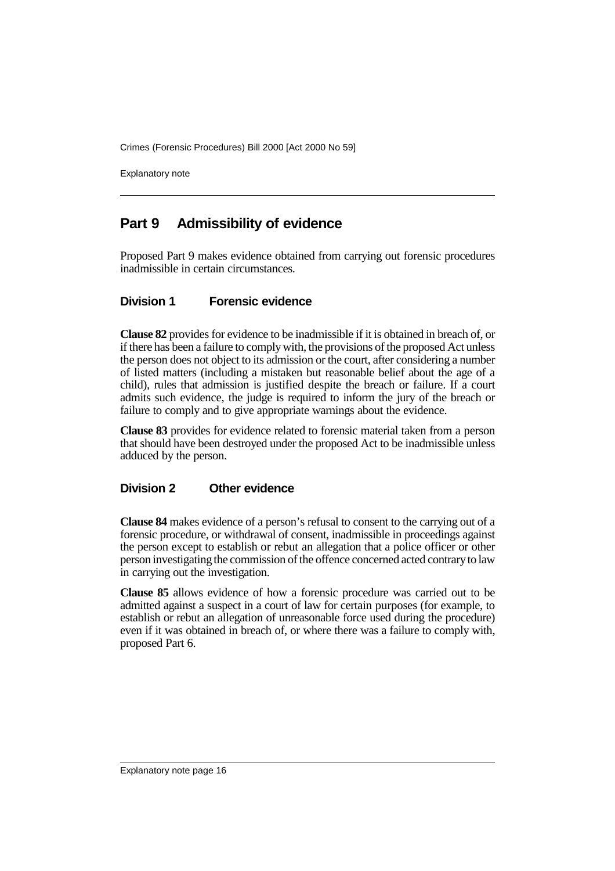Explanatory note

### **Part 9 Admissibility of evidence**

Proposed Part 9 makes evidence obtained from carrying out forensic procedures inadmissible in certain circumstances.

#### **Division 1 Forensic evidence**

**Clause 82** provides for evidence to be inadmissible if it is obtained in breach of, or if there has been a failure to comply with, the provisions of the proposed Act unless the person does not object to its admission or the court, after considering a number of listed matters (including a mistaken but reasonable belief about the age of a child), rules that admission is justified despite the breach or failure. If a court admits such evidence, the judge is required to inform the jury of the breach or failure to comply and to give appropriate warnings about the evidence.

**Clause 83** provides for evidence related to forensic material taken from a person that should have been destroyed under the proposed Act to be inadmissible unless adduced by the person.

#### **Division 2 Other evidence**

**Clause 84** makes evidence of a person's refusal to consent to the carrying out of a forensic procedure, or withdrawal of consent, inadmissible in proceedings against the person except to establish or rebut an allegation that a police officer or other person investigating the commission of the offence concerned acted contrary to law in carrying out the investigation.

**Clause 85** allows evidence of how a forensic procedure was carried out to be admitted against a suspect in a court of law for certain purposes (for example, to establish or rebut an allegation of unreasonable force used during the procedure) even if it was obtained in breach of, or where there was a failure to comply with, proposed Part 6.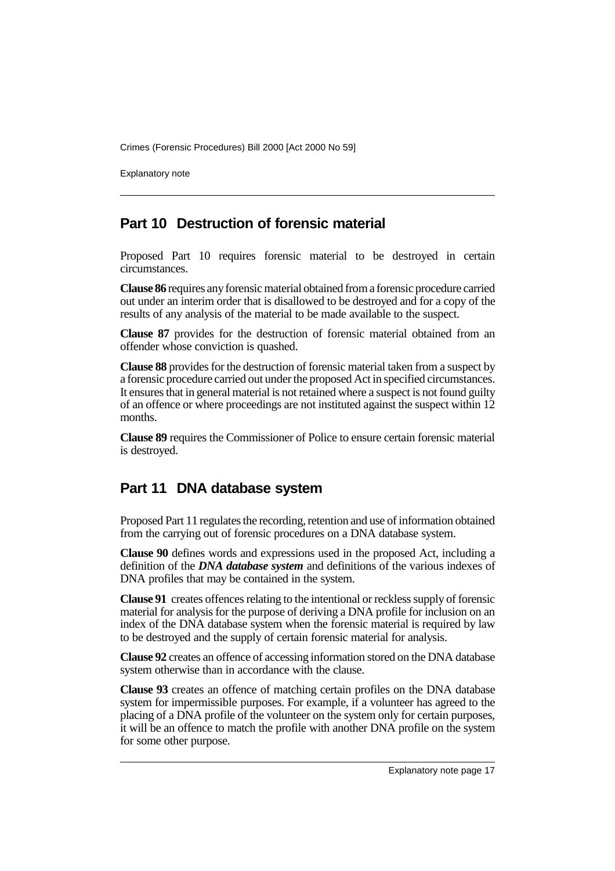Explanatory note

### **Part 10 Destruction of forensic material**

Proposed Part 10 requires forensic material to be destroyed in certain circumstances.

**Clause 86** requires any forensic material obtained from a forensic procedure carried out under an interim order that is disallowed to be destroyed and for a copy of the results of any analysis of the material to be made available to the suspect.

**Clause 87** provides for the destruction of forensic material obtained from an offender whose conviction is quashed.

**Clause 88** provides for the destruction of forensic material taken from a suspect by a forensic procedure carried out under the proposed Act in specified circumstances. It ensures that in general material is not retained where a suspect is not found guilty of an offence or where proceedings are not instituted against the suspect within 12 months.

**Clause 89** requires the Commissioner of Police to ensure certain forensic material is destroyed.

### **Part 11 DNA database system**

Proposed Part 11 regulates the recording, retention and use of information obtained from the carrying out of forensic procedures on a DNA database system.

**Clause 90** defines words and expressions used in the proposed Act, including a definition of the *DNA database system* and definitions of the various indexes of DNA profiles that may be contained in the system.

**Clause 91** creates offences relating to the intentional or reckless supply of forensic material for analysis for the purpose of deriving a DNA profile for inclusion on an index of the DNA database system when the forensic material is required by law to be destroyed and the supply of certain forensic material for analysis.

**Clause 92** creates an offence of accessing information stored on the DNA database system otherwise than in accordance with the clause.

**Clause 93** creates an offence of matching certain profiles on the DNA database system for impermissible purposes. For example, if a volunteer has agreed to the placing of a DNA profile of the volunteer on the system only for certain purposes, it will be an offence to match the profile with another DNA profile on the system for some other purpose.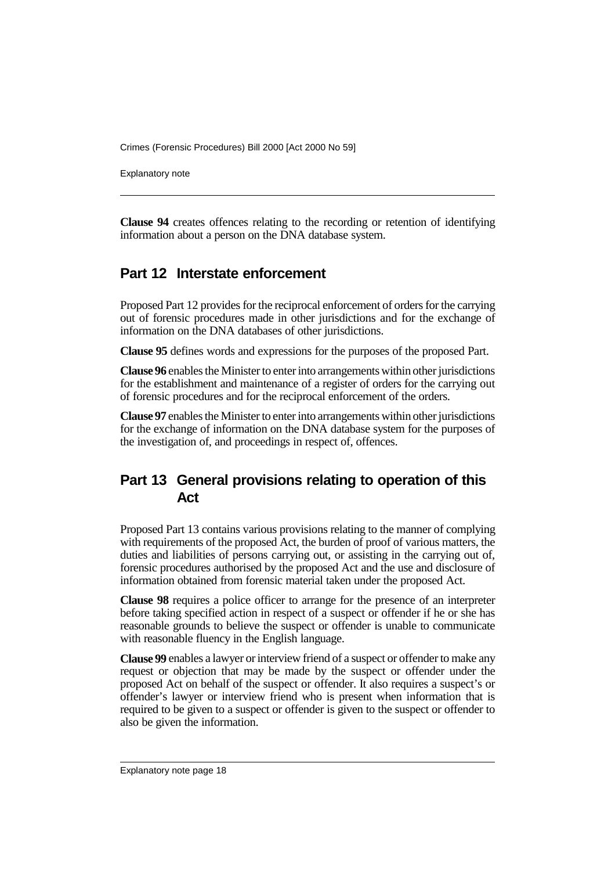Explanatory note

**Clause 94** creates offences relating to the recording or retention of identifying information about a person on the DNA database system.

# **Part 12 Interstate enforcement**

Proposed Part 12 provides for the reciprocal enforcement of orders for the carrying out of forensic procedures made in other jurisdictions and for the exchange of information on the DNA databases of other jurisdictions.

**Clause 95** defines words and expressions for the purposes of the proposed Part.

**Clause 96** enables the Minister to enter into arrangements within other jurisdictions for the establishment and maintenance of a register of orders for the carrying out of forensic procedures and for the reciprocal enforcement of the orders.

**Clause 97** enables the Minister to enter into arrangements within other jurisdictions for the exchange of information on the DNA database system for the purposes of the investigation of, and proceedings in respect of, offences.

# **Part 13 General provisions relating to operation of this Act**

Proposed Part 13 contains various provisions relating to the manner of complying with requirements of the proposed Act, the burden of proof of various matters, the duties and liabilities of persons carrying out, or assisting in the carrying out of, forensic procedures authorised by the proposed Act and the use and disclosure of information obtained from forensic material taken under the proposed Act.

**Clause 98** requires a police officer to arrange for the presence of an interpreter before taking specified action in respect of a suspect or offender if he or she has reasonable grounds to believe the suspect or offender is unable to communicate with reasonable fluency in the English language.

**Clause 99** enables a lawyer or interview friend of a suspect or offender to make any request or objection that may be made by the suspect or offender under the proposed Act on behalf of the suspect or offender. It also requires a suspect's or offender's lawyer or interview friend who is present when information that is required to be given to a suspect or offender is given to the suspect or offender to also be given the information.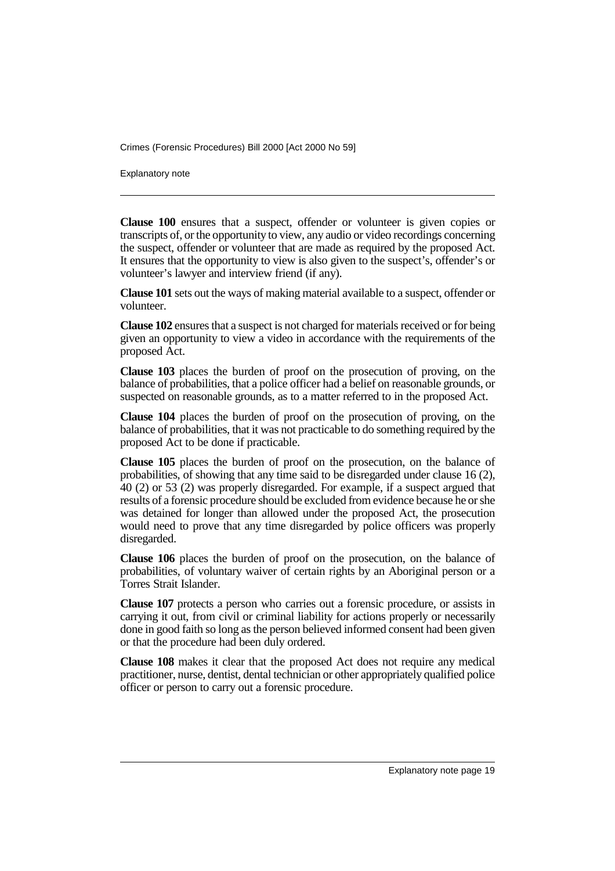Explanatory note

**Clause 100** ensures that a suspect, offender or volunteer is given copies or transcripts of, or the opportunity to view, any audio or video recordings concerning the suspect, offender or volunteer that are made as required by the proposed Act. It ensures that the opportunity to view is also given to the suspect's, offender's or volunteer's lawyer and interview friend (if any).

**Clause 101** sets out the ways of making material available to a suspect, offender or volunteer.

**Clause 102** ensures that a suspect is not charged for materials received or for being given an opportunity to view a video in accordance with the requirements of the proposed Act.

**Clause 103** places the burden of proof on the prosecution of proving, on the balance of probabilities, that a police officer had a belief on reasonable grounds, or suspected on reasonable grounds, as to a matter referred to in the proposed Act.

**Clause 104** places the burden of proof on the prosecution of proving, on the balance of probabilities, that it was not practicable to do something required by the proposed Act to be done if practicable.

**Clause 105** places the burden of proof on the prosecution, on the balance of probabilities, of showing that any time said to be disregarded under clause 16 (2), 40 (2) or 53 (2) was properly disregarded. For example, if a suspect argued that results of a forensic procedure should be excluded from evidence because he or she was detained for longer than allowed under the proposed Act, the prosecution would need to prove that any time disregarded by police officers was properly disregarded.

**Clause 106** places the burden of proof on the prosecution, on the balance of probabilities, of voluntary waiver of certain rights by an Aboriginal person or a Torres Strait Islander.

**Clause 107** protects a person who carries out a forensic procedure, or assists in carrying it out, from civil or criminal liability for actions properly or necessarily done in good faith so long as the person believed informed consent had been given or that the procedure had been duly ordered.

**Clause 108** makes it clear that the proposed Act does not require any medical practitioner, nurse, dentist, dental technician or other appropriately qualified police officer or person to carry out a forensic procedure.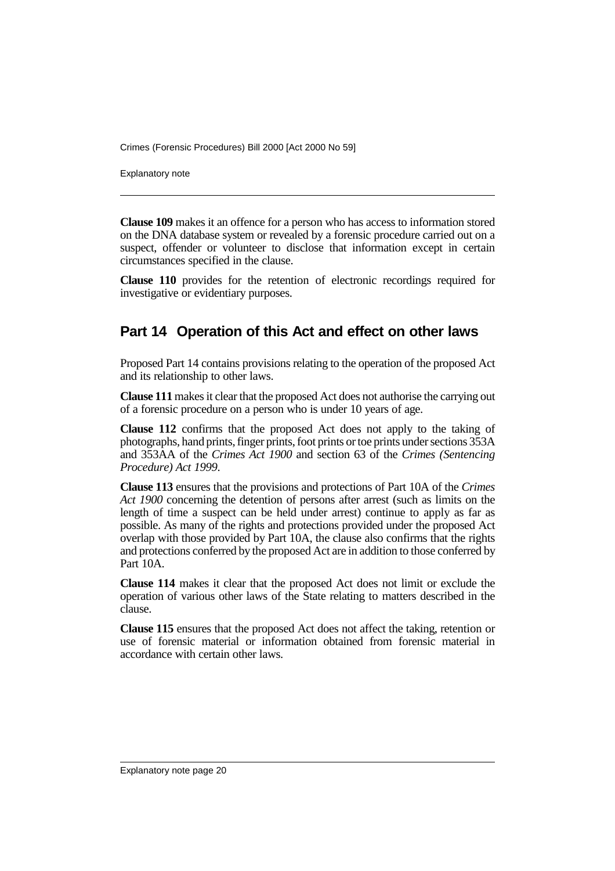Explanatory note

**Clause 109** makes it an offence for a person who has access to information stored on the DNA database system or revealed by a forensic procedure carried out on a suspect, offender or volunteer to disclose that information except in certain circumstances specified in the clause.

**Clause 110** provides for the retention of electronic recordings required for investigative or evidentiary purposes.

### **Part 14 Operation of this Act and effect on other laws**

Proposed Part 14 contains provisions relating to the operation of the proposed Act and its relationship to other laws.

**Clause 111** makes it clear that the proposed Act does not authorise the carrying out of a forensic procedure on a person who is under 10 years of age.

**Clause 112** confirms that the proposed Act does not apply to the taking of photographs, hand prints, finger prints, foot prints or toe prints under sections 353A and 353AA of the *Crimes Act 1900* and section 63 of the *Crimes (Sentencing Procedure) Act 1999*.

**Clause 113** ensures that the provisions and protections of Part 10A of the *Crimes Act 1900* concerning the detention of persons after arrest (such as limits on the length of time a suspect can be held under arrest) continue to apply as far as possible. As many of the rights and protections provided under the proposed Act overlap with those provided by Part 10A, the clause also confirms that the rights and protections conferred by the proposed Act are in addition to those conferred by Part 10A.

**Clause 114** makes it clear that the proposed Act does not limit or exclude the operation of various other laws of the State relating to matters described in the clause.

**Clause 115** ensures that the proposed Act does not affect the taking, retention or use of forensic material or information obtained from forensic material in accordance with certain other laws.